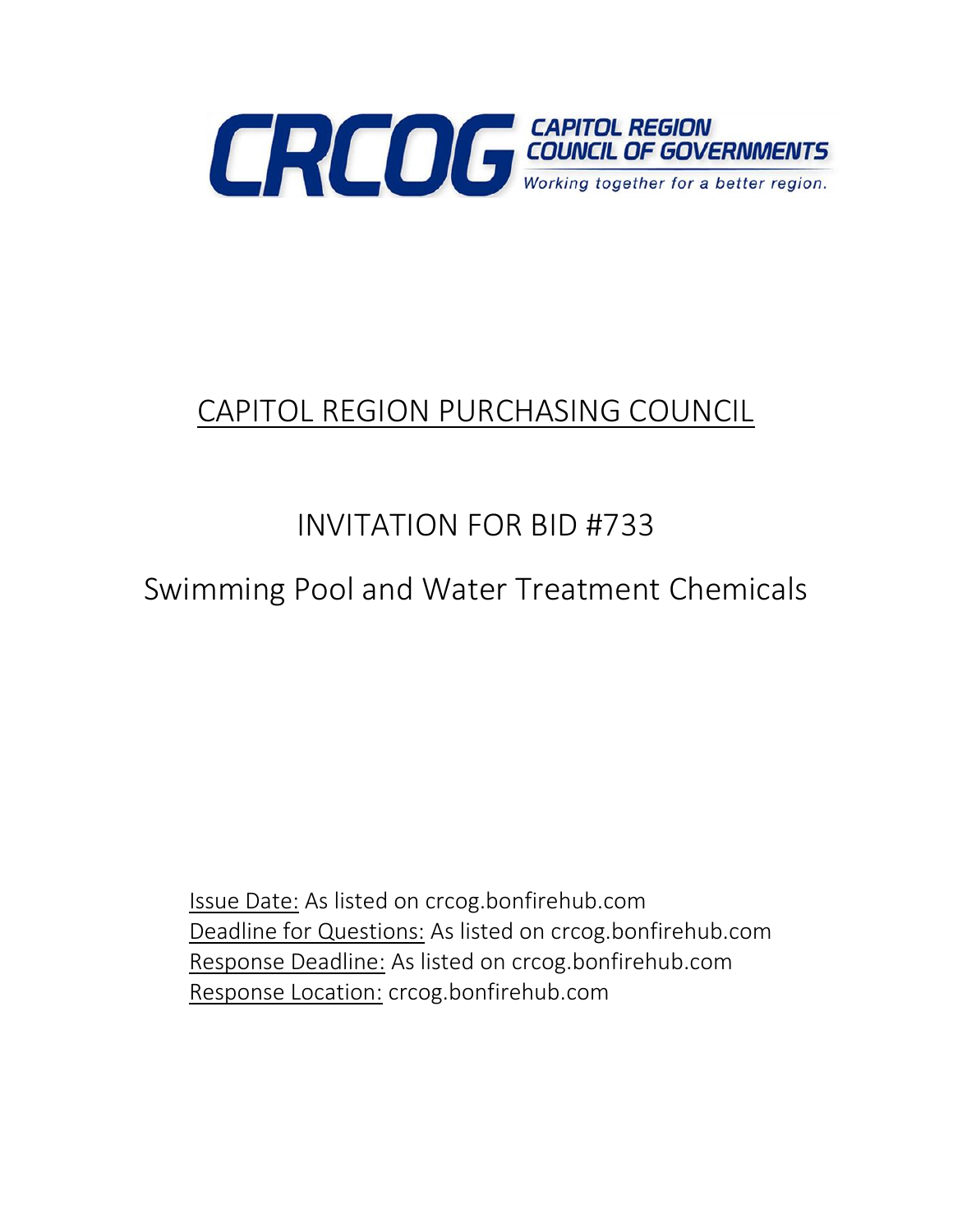

# CAPITOL REGION PURCHASING COUNCIL

# INVITATION FOR BID #733

Swimming Pool and Water Treatment Chemicals

Issue Date: As listed on crcog.bonfirehub.com Deadline for Questions: As listed on crcog.bonfirehub.com Response Deadline: As listed on crcog.bonfirehub.com Response Location: crcog.bonfirehub.com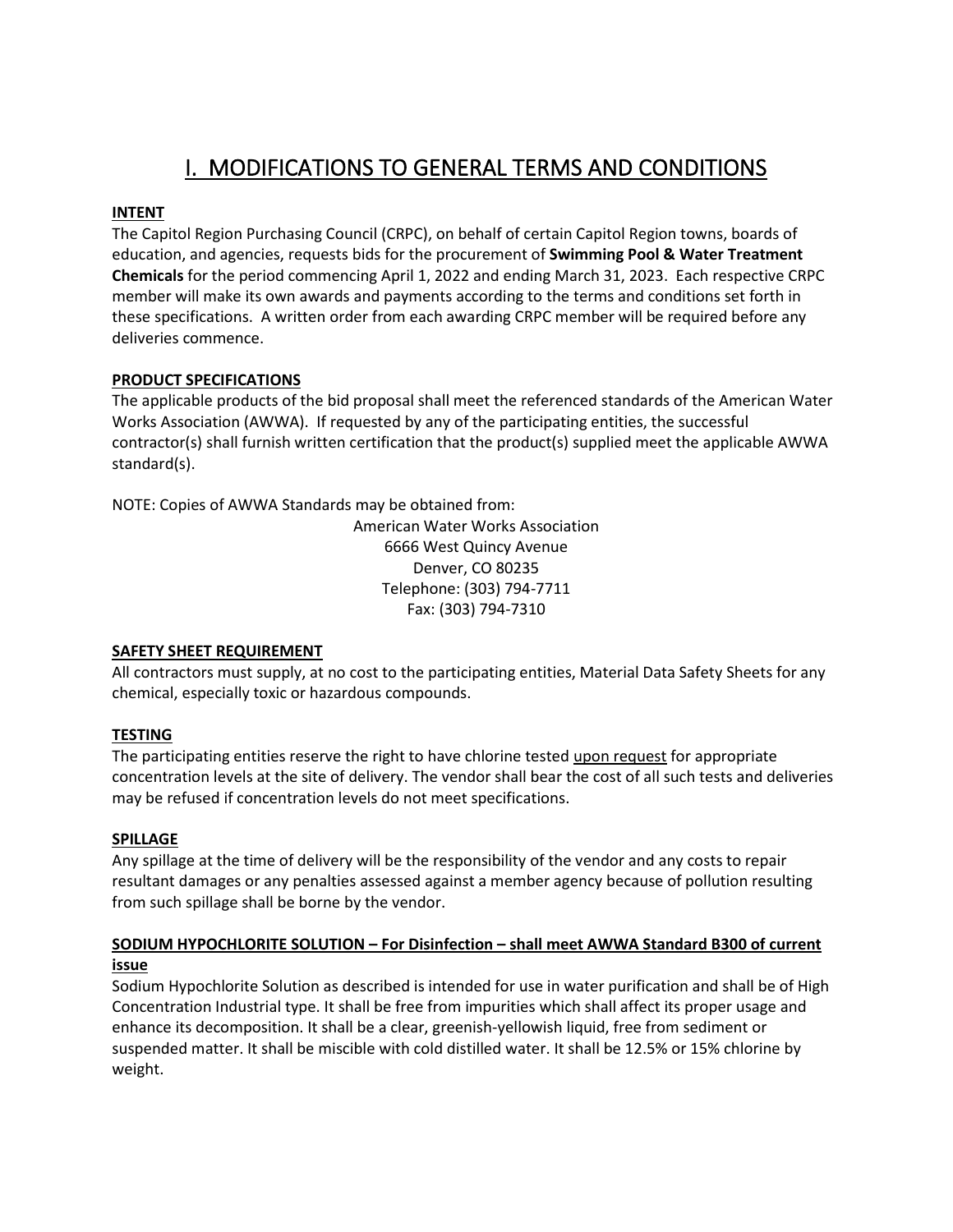# I. MODIFICATIONS TO GENERAL TERMS AND CONDITIONS

### **INTENT**

The Capitol Region Purchasing Council (CRPC), on behalf of certain Capitol Region towns, boards of education, and agencies, requests bids for the procurement of **Swimming Pool & Water Treatment Chemicals** for the period commencing April 1, 2022 and ending March 31, 2023. Each respective CRPC member will make its own awards and payments according to the terms and conditions set forth in these specifications. A written order from each awarding CRPC member will be required before any deliveries commence.

### **PRODUCT SPECIFICATIONS**

The applicable products of the bid proposal shall meet the referenced standards of the American Water Works Association (AWWA). If requested by any of the participating entities, the successful contractor(s) shall furnish written certification that the product(s) supplied meet the applicable AWWA standard(s).

NOTE: Copies of AWWA Standards may be obtained from:

American Water Works Association 6666 West Quincy Avenue Denver, CO 80235 Telephone: (303) 794-7711 Fax: (303) 794-7310

### **SAFETY SHEET REQUIREMENT**

All contractors must supply, at no cost to the participating entities, Material Data Safety Sheets for any chemical, especially toxic or hazardous compounds.

### **TESTING**

The participating entities reserve the right to have chlorine tested upon request for appropriate concentration levels at the site of delivery. The vendor shall bear the cost of all such tests and deliveries may be refused if concentration levels do not meet specifications.

### **SPILLAGE**

Any spillage at the time of delivery will be the responsibility of the vendor and any costs to repair resultant damages or any penalties assessed against a member agency because of pollution resulting from such spillage shall be borne by the vendor.

### **SODIUM HYPOCHLORITE SOLUTION – For Disinfection – shall meet AWWA Standard B300 of current issue**

Sodium Hypochlorite Solution as described is intended for use in water purification and shall be of High Concentration Industrial type. It shall be free from impurities which shall affect its proper usage and enhance its decomposition. It shall be a clear, greenish-yellowish liquid, free from sediment or suspended matter. It shall be miscible with cold distilled water. It shall be 12.5% or 15% chlorine by weight.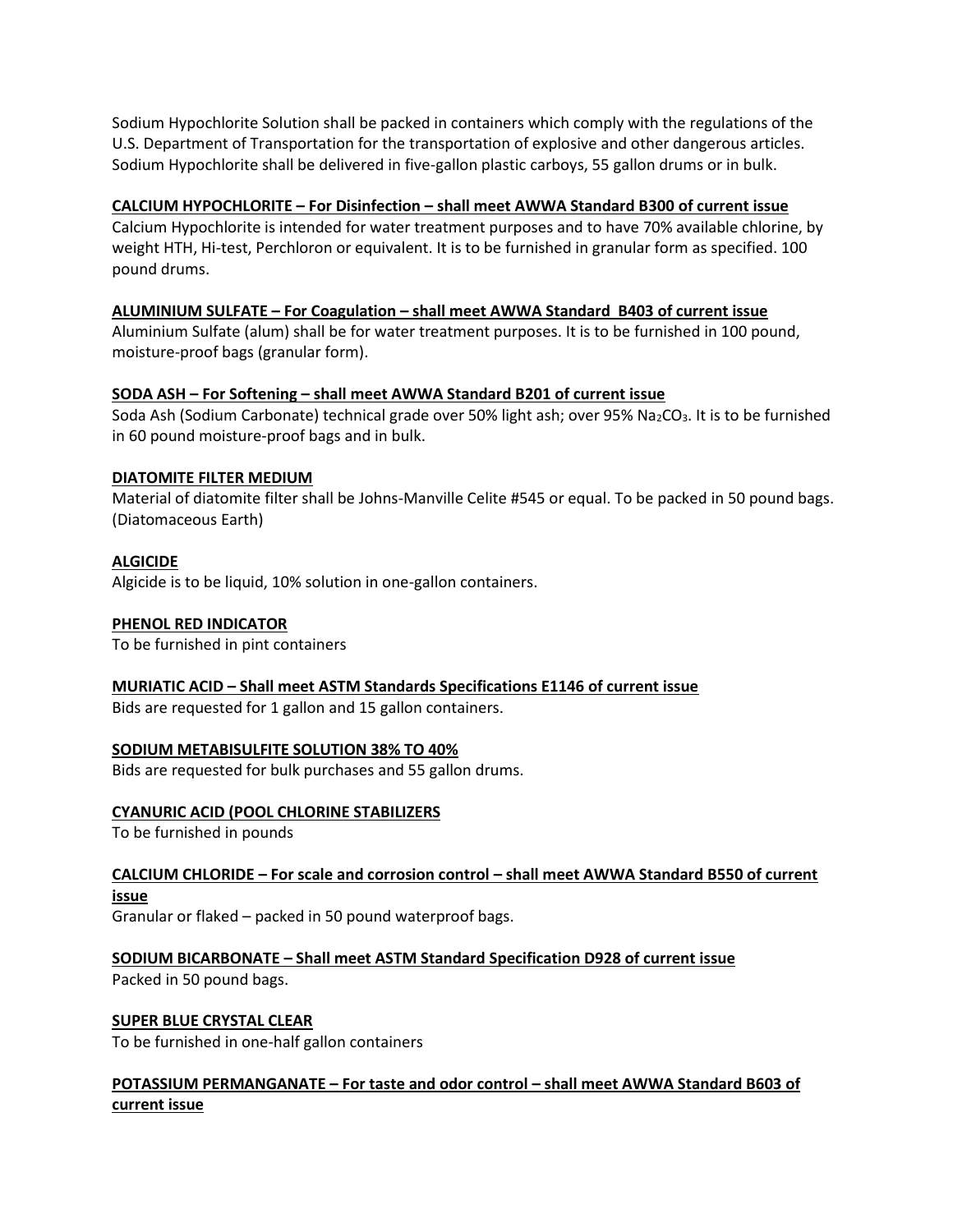Sodium Hypochlorite Solution shall be packed in containers which comply with the regulations of the U.S. Department of Transportation for the transportation of explosive and other dangerous articles. Sodium Hypochlorite shall be delivered in five-gallon plastic carboys, 55 gallon drums or in bulk.

### **CALCIUM HYPOCHLORITE – For Disinfection – shall meet AWWA Standard B300 of current issue**

Calcium Hypochlorite is intended for water treatment purposes and to have 70% available chlorine, by weight HTH, Hi-test, Perchloron or equivalent. It is to be furnished in granular form as specified. 100 pound drums.

### **ALUMINIUM SULFATE – For Coagulation – shall meet AWWA Standard B403 of current issue**

Aluminium Sulfate (alum) shall be for water treatment purposes. It is to be furnished in 100 pound, moisture-proof bags (granular form).

### **SODA ASH – For Softening – shall meet AWWA Standard B201 of current issue**

Soda Ash (Sodium Carbonate) technical grade over 50% light ash; over 95% Na<sub>2</sub>CO<sub>3</sub>. It is to be furnished in 60 pound moisture-proof bags and in bulk.

### **DIATOMITE FILTER MEDIUM**

Material of diatomite filter shall be Johns-Manville Celite #545 or equal. To be packed in 50 pound bags. (Diatomaceous Earth)

### **ALGICIDE**

Algicide is to be liquid, 10% solution in one-gallon containers.

### **PHENOL RED INDICATOR**

To be furnished in pint containers

### **MURIATIC ACID – Shall meet ASTM Standards Specifications E1146 of current issue**

Bids are requested for 1 gallon and 15 gallon containers.

### **SODIUM METABISULFITE SOLUTION 38% TO 40%**

Bids are requested for bulk purchases and 55 gallon drums.

### **CYANURIC ACID (POOL CHLORINE STABILIZERS**

To be furnished in pounds

**CALCIUM CHLORIDE – For scale and corrosion control – shall meet AWWA Standard B550 of current issue**

Granular or flaked – packed in 50 pound waterproof bags.

**SODIUM BICARBONATE – Shall meet ASTM Standard Specification D928 of current issue**

Packed in 50 pound bags.

### **SUPER BLUE CRYSTAL CLEAR**

To be furnished in one-half gallon containers

### **POTASSIUM PERMANGANATE – For taste and odor control – shall meet AWWA Standard B603 of current issue**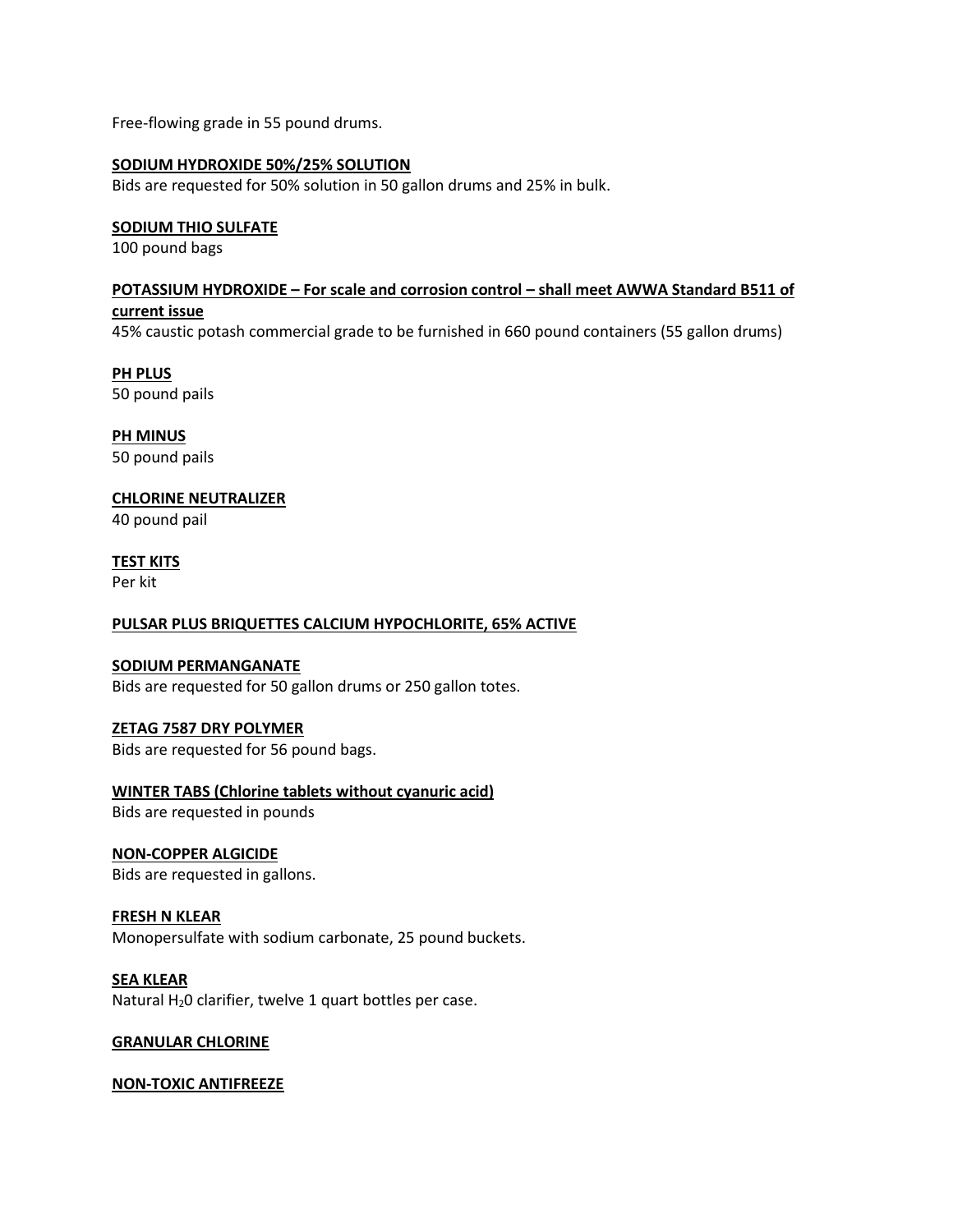Free-flowing grade in 55 pound drums.

### **SODIUM HYDROXIDE 50%/25% SOLUTION**

Bids are requested for 50% solution in 50 gallon drums and 25% in bulk.

### **SODIUM THIO SULFATE**

100 pound bags

# **POTASSIUM HYDROXIDE – For scale and corrosion control – shall meet AWWA Standard B511 of**

### **current issue**

45% caustic potash commercial grade to be furnished in 660 pound containers (55 gallon drums)

**PH PLUS** 50 pound pails

**PH MINUS** 50 pound pails

### **CHLORINE NEUTRALIZER**

40 pound pail

### **TEST KITS**

Per kit

### **PULSAR PLUS BRIQUETTES CALCIUM HYPOCHLORITE, 65% ACTIVE**

### **SODIUM PERMANGANATE**

Bids are requested for 50 gallon drums or 250 gallon totes.

### **ZETAG 7587 DRY POLYMER**

Bids are requested for 56 pound bags.

### **WINTER TABS (Chlorine tablets without cyanuric acid)**

Bids are requested in pounds

### **NON-COPPER ALGICIDE**

Bids are requested in gallons.

### **FRESH N KLEAR**

Monopersulfate with sodium carbonate, 25 pound buckets.

### **SEA KLEAR**

Natural H<sub>2</sub>0 clarifier, twelve 1 quart bottles per case.

### **GRANULAR CHLORINE**

### **NON-TOXIC ANTIFREEZE**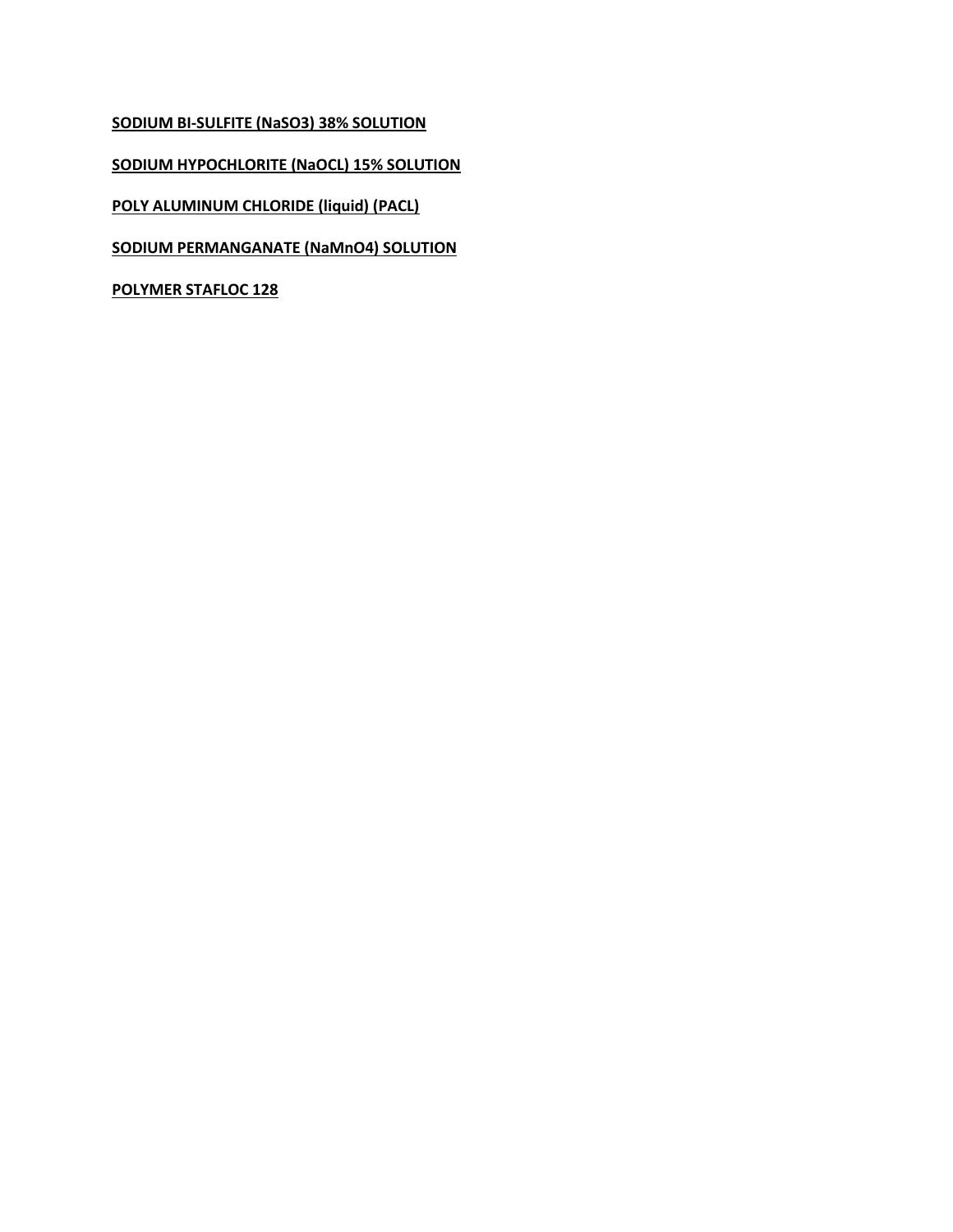**SODIUM BI-SULFITE (NaSO3) 38% SOLUTION**

**SODIUM HYPOCHLORITE (NaOCL) 15% SOLUTION**

**POLY ALUMINUM CHLORIDE (liquid) (PACL)**

**SODIUM PERMANGANATE (NaMnO4) SOLUTION** 

**POLYMER STAFLOC 128**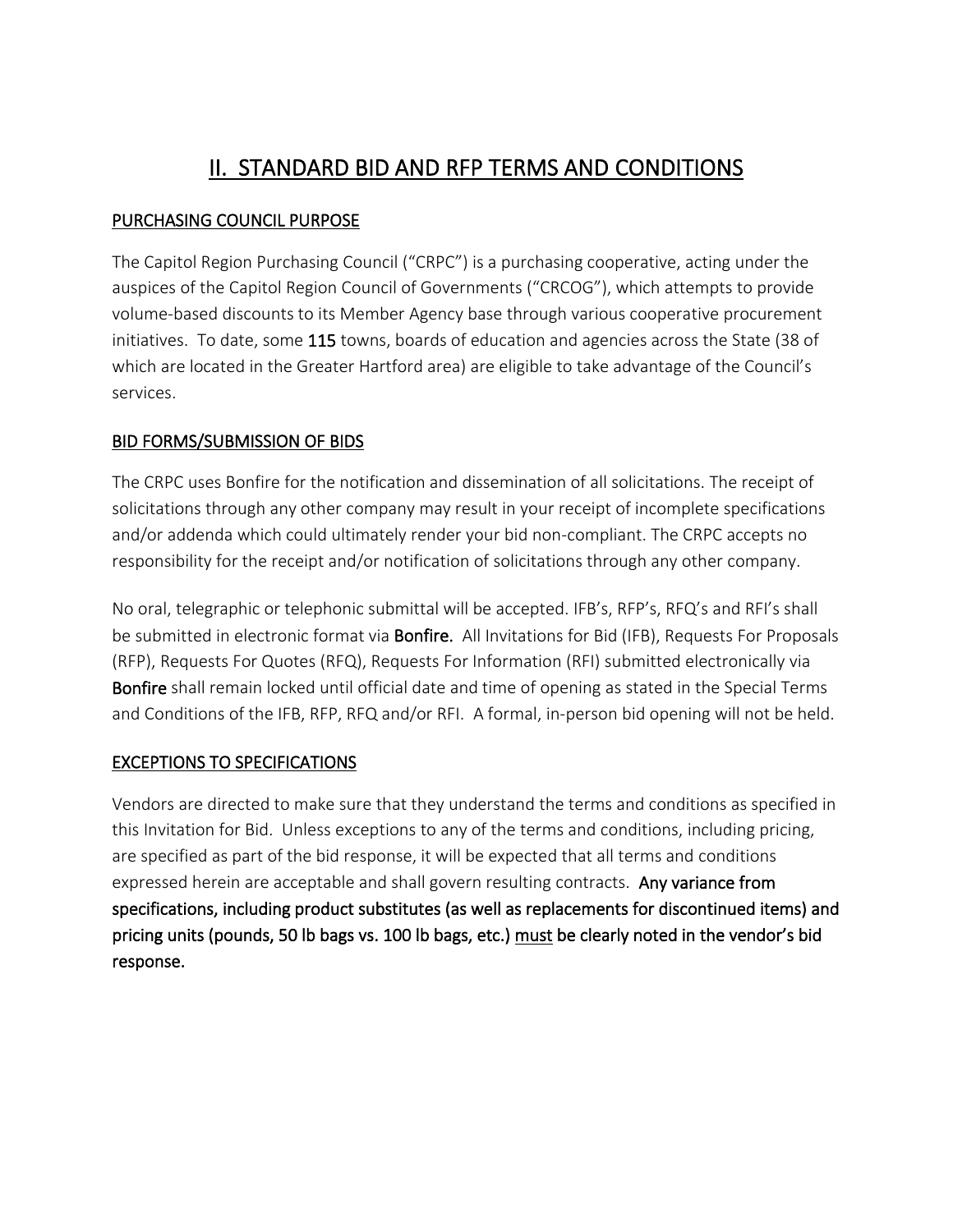# II. STANDARD BID AND RFP TERMS AND CONDITIONS

# PURCHASING COUNCIL PURPOSE

The Capitol Region Purchasing Council ("CRPC") is a purchasing cooperative, acting under the auspices of the Capitol Region Council of Governments ("CRCOG"), which attempts to provide volume-based discounts to its Member Agency base through various cooperative procurement initiatives. To date, some 115 towns, boards of education and agencies across the State (38 of which are located in the Greater Hartford area) are eligible to take advantage of the Council's services.

# BID FORMS/SUBMISSION OF BIDS

The CRPC uses Bonfire for the notification and dissemination of all solicitations. The receipt of solicitations through any other company may result in your receipt of incomplete specifications and/or addenda which could ultimately render your bid non-compliant. The CRPC accepts no responsibility for the receipt and/or notification of solicitations through any other company.

No oral, telegraphic or telephonic submittal will be accepted. IFB's, RFP's, RFQ's and RFI's shall be submitted in electronic format via **Bonfire.** All Invitations for Bid (IFB), Requests For Proposals (RFP), Requests For Quotes (RFQ), Requests For Information (RFI) submitted electronically via Bonfire shall remain locked until official date and time of opening as stated in the Special Terms and Conditions of the IFB, RFP, RFQ and/or RFI. A formal, in-person bid opening will not be held.

# EXCEPTIONS TO SPECIFICATIONS

Vendors are directed to make sure that they understand the terms and conditions as specified in this Invitation for Bid. Unless exceptions to any of the terms and conditions, including pricing, are specified as part of the bid response, it will be expected that all terms and conditions expressed herein are acceptable and shall govern resulting contracts. Any variance from specifications, including product substitutes (as well as replacements for discontinued items) and pricing units (pounds, 50 lb bags vs. 100 lb bags, etc.) must be clearly noted in the vendor's bid response.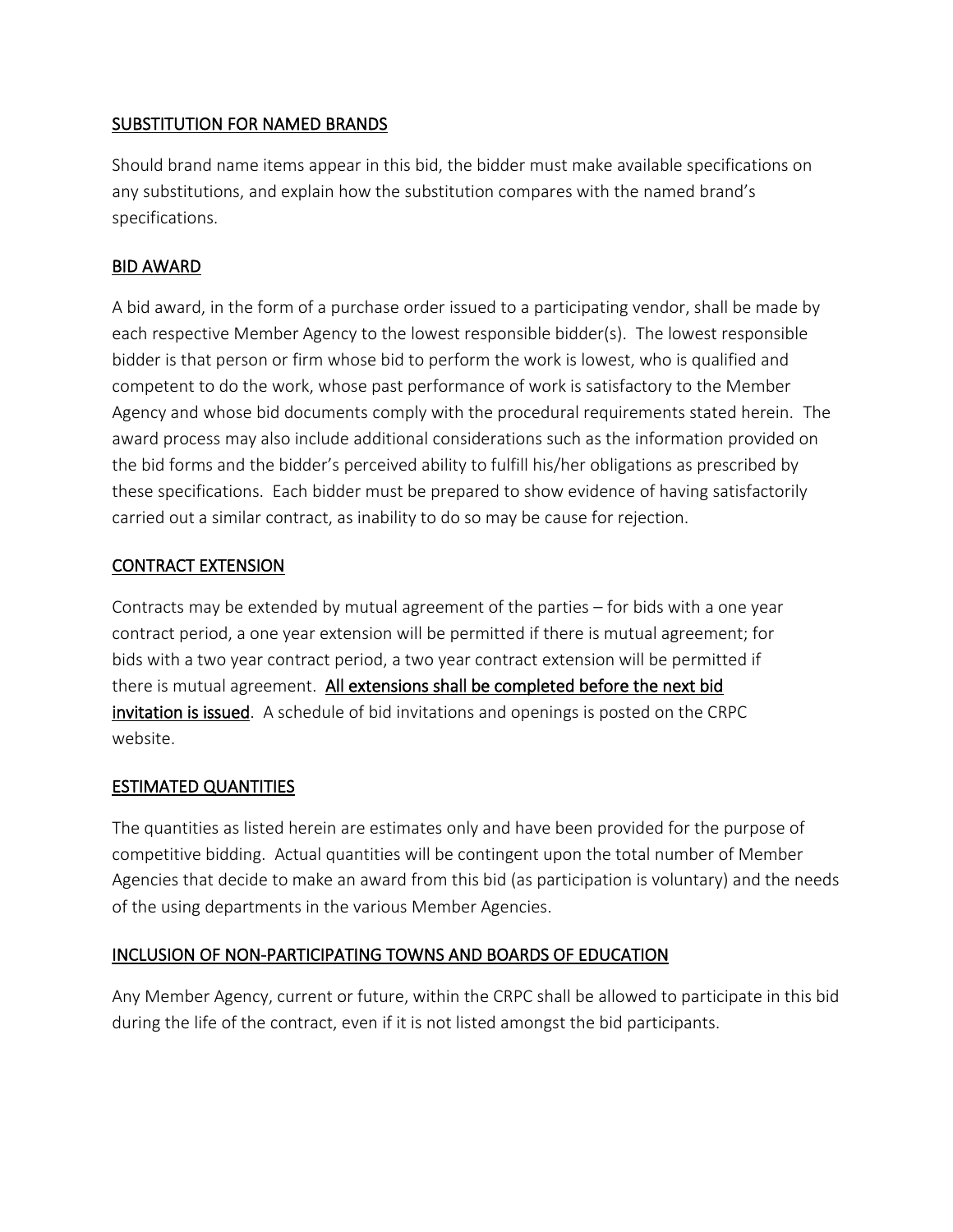# SUBSTITUTION FOR NAMED BRANDS

Should brand name items appear in this bid, the bidder must make available specifications on any substitutions, and explain how the substitution compares with the named brand's specifications.

# BID AWARD

A bid award, in the form of a purchase order issued to a participating vendor, shall be made by each respective Member Agency to the lowest responsible bidder(s). The lowest responsible bidder is that person or firm whose bid to perform the work is lowest, who is qualified and competent to do the work, whose past performance of work is satisfactory to the Member Agency and whose bid documents comply with the procedural requirements stated herein. The award process may also include additional considerations such as the information provided on the bid forms and the bidder's perceived ability to fulfill his/her obligations as prescribed by these specifications. Each bidder must be prepared to show evidence of having satisfactorily carried out a similar contract, as inability to do so may be cause for rejection.

# CONTRACT EXTENSION

Contracts may be extended by mutual agreement of the parties – for bids with a one year contract period, a one year extension will be permitted if there is mutual agreement; for bids with a two year contract period, a two year contract extension will be permitted if there is mutual agreement. All extensions shall be completed before the next bid invitation is issued. A schedule of bid invitations and openings is posted on the CRPC website.

# ESTIMATED QUANTITIES

The quantities as listed herein are estimates only and have been provided for the purpose of competitive bidding. Actual quantities will be contingent upon the total number of Member Agencies that decide to make an award from this bid (as participation is voluntary) and the needs of the using departments in the various Member Agencies.

# INCLUSION OF NON-PARTICIPATING TOWNS AND BOARDS OF EDUCATION

Any Member Agency, current or future, within the CRPC shall be allowed to participate in this bid during the life of the contract, even if it is not listed amongst the bid participants.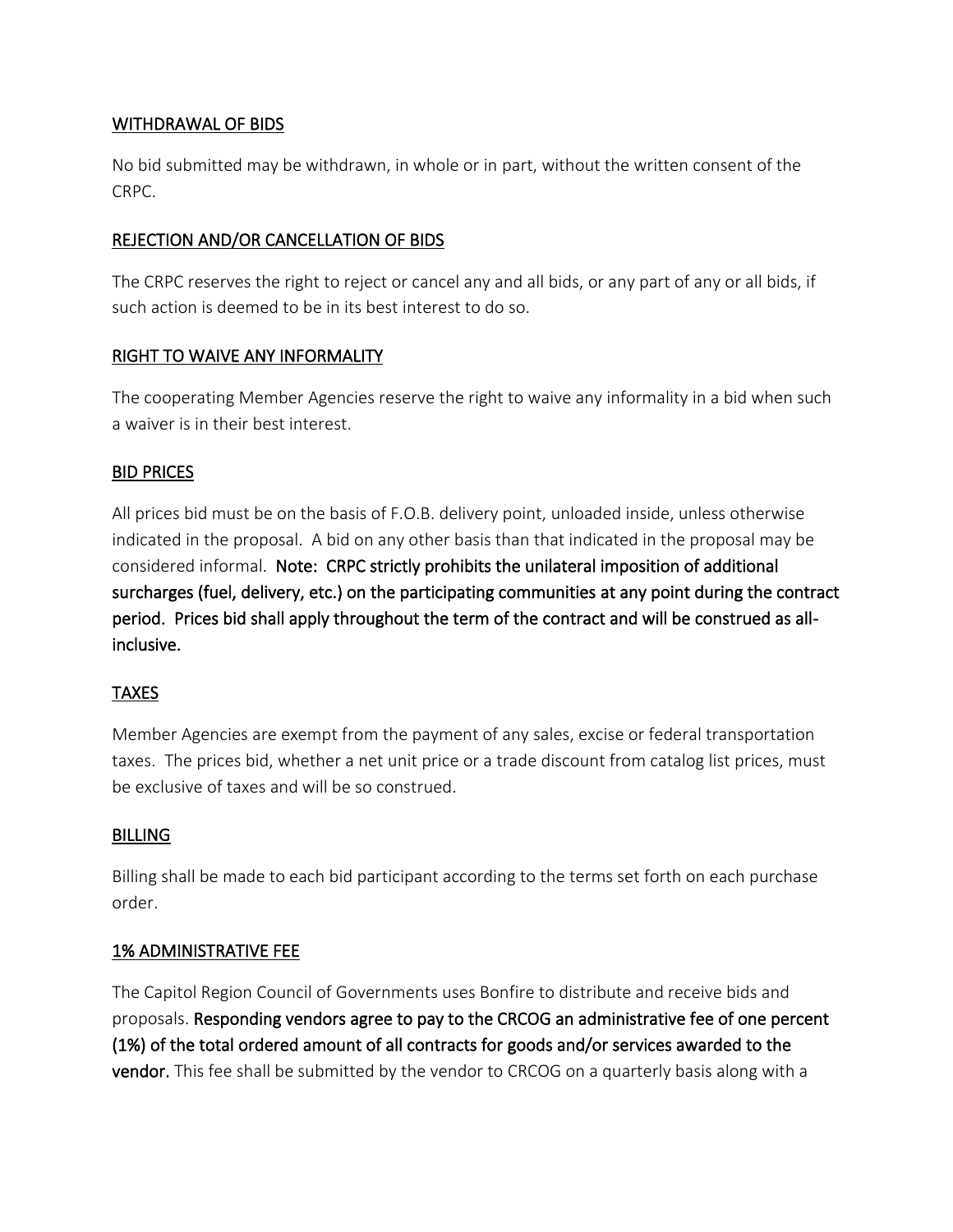### WITHDRAWAL OF BIDS

No bid submitted may be withdrawn, in whole or in part, without the written consent of the CRPC.

# REJECTION AND/OR CANCELLATION OF BIDS

The CRPC reserves the right to reject or cancel any and all bids, or any part of any or all bids, if such action is deemed to be in its best interest to do so.

# RIGHT TO WAIVE ANY INFORMALITY

The cooperating Member Agencies reserve the right to waive any informality in a bid when such a waiver is in their best interest.

# BID PRICES

All prices bid must be on the basis of F.O.B. delivery point, unloaded inside, unless otherwise indicated in the proposal. A bid on any other basis than that indicated in the proposal may be considered informal. Note: CRPC strictly prohibits the unilateral imposition of additional surcharges (fuel, delivery, etc.) on the participating communities at any point during the contract period. Prices bid shall apply throughout the term of the contract and will be construed as allinclusive.

# TAXES

Member Agencies are exempt from the payment of any sales, excise or federal transportation taxes. The prices bid, whether a net unit price or a trade discount from catalog list prices, must be exclusive of taxes and will be so construed.

# **BILLING**

Billing shall be made to each bid participant according to the terms set forth on each purchase order.

# 1% ADMINISTRATIVE FEE

The Capitol Region Council of Governments uses Bonfire to distribute and receive bids and proposals. Responding vendors agree to pay to the CRCOG an administrative fee of one percent (1%) of the total ordered amount of all contracts for goods and/or services awarded to the vendor. This fee shall be submitted by the vendor to CRCOG on a quarterly basis along with a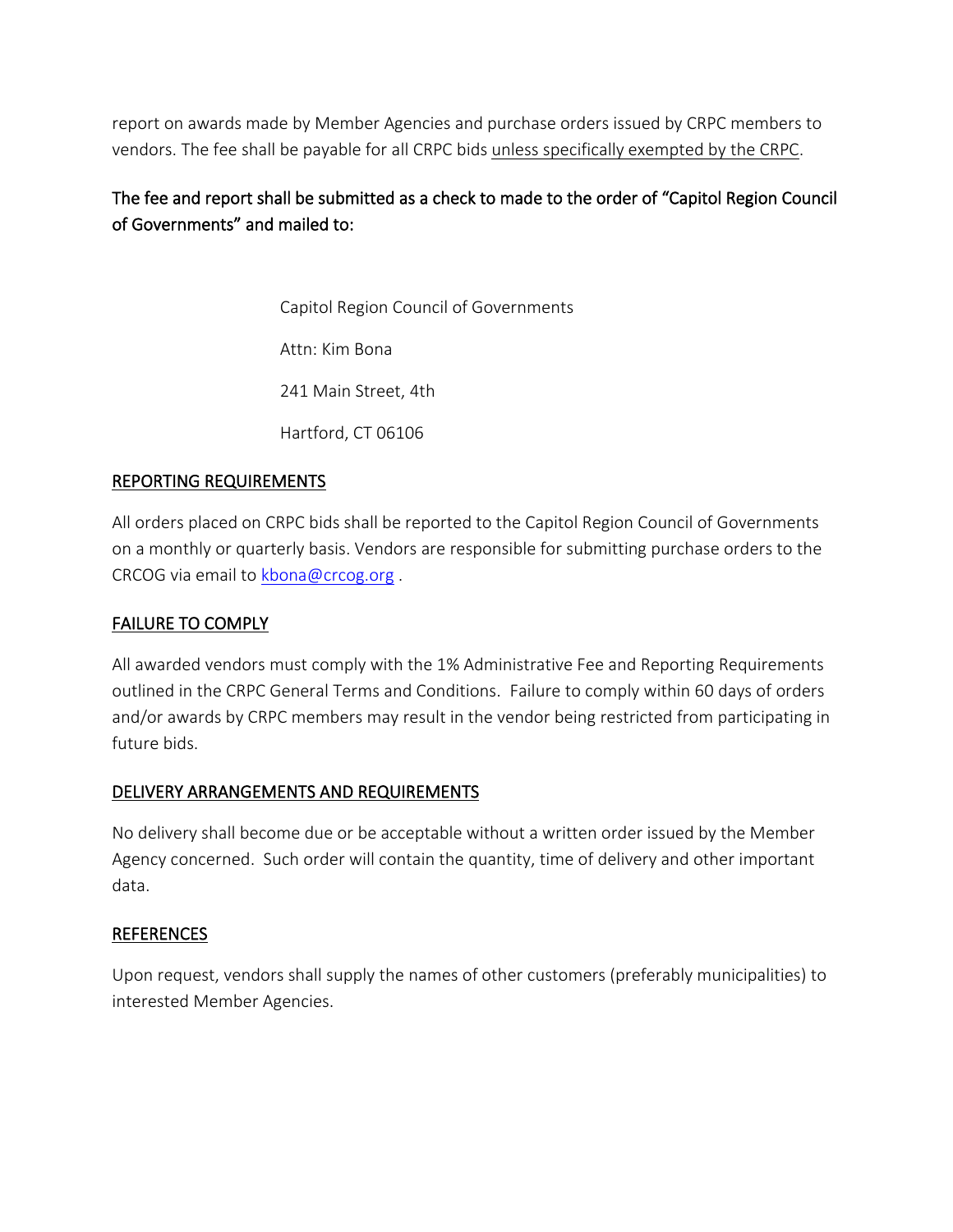report on awards made by Member Agencies and purchase orders issued by CRPC members to vendors. The fee shall be payable for all CRPC bids unless specifically exempted by the CRPC.

# The fee and report shall be submitted as a check to made to the order of "Capitol Region Council of Governments" and mailed to:

Capitol Region Council of Governments Attn: Kim Bona 241 Main Street, 4th Hartford, CT 06106

# REPORTING REQUIREMENTS

All orders placed on CRPC bids shall be reported to the Capitol Region Council of Governments on a monthly or quarterly basis. Vendors are responsible for submitting purchase orders to the CRCOG via email to [kbona@crcog.org](mailto:kbona@crcog.org) .

# FAILURE TO COMPLY

All awarded vendors must comply with the 1% Administrative Fee and Reporting Requirements outlined in the CRPC General Terms and Conditions. Failure to comply within 60 days of orders and/or awards by CRPC members may result in the vendor being restricted from participating in future bids.

# DELIVERY ARRANGEMENTS AND REQUIREMENTS

No delivery shall become due or be acceptable without a written order issued by the Member Agency concerned. Such order will contain the quantity, time of delivery and other important data.

# **REFERENCES**

Upon request, vendors shall supply the names of other customers (preferably municipalities) to interested Member Agencies.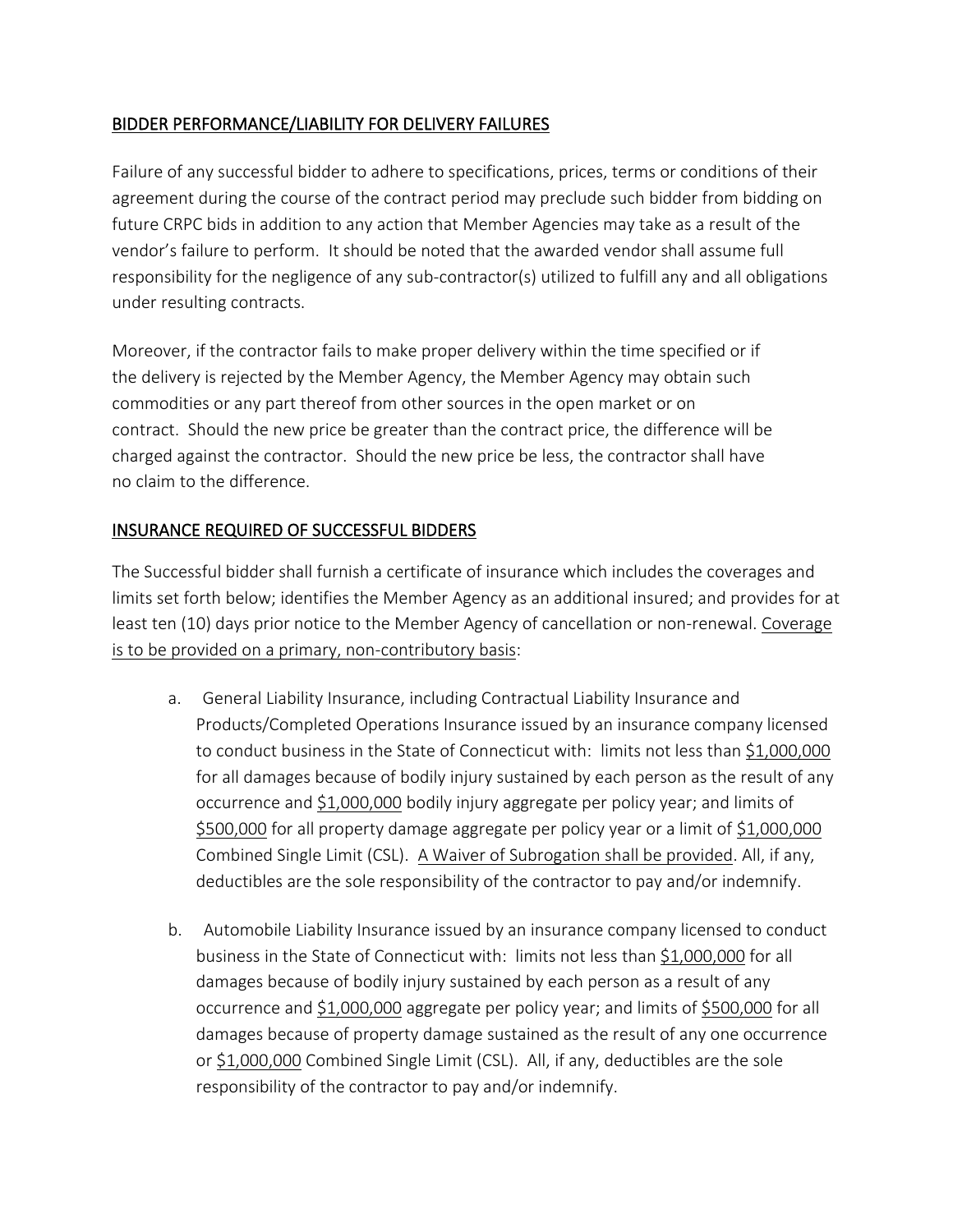# BIDDER PERFORMANCE/LIABILITY FOR DELIVERY FAILURES

Failure of any successful bidder to adhere to specifications, prices, terms or conditions of their agreement during the course of the contract period may preclude such bidder from bidding on future CRPC bids in addition to any action that Member Agencies may take as a result of the vendor's failure to perform. It should be noted that the awarded vendor shall assume full responsibility for the negligence of any sub-contractor(s) utilized to fulfill any and all obligations under resulting contracts.

Moreover, if the contractor fails to make proper delivery within the time specified or if the delivery is rejected by the Member Agency, the Member Agency may obtain such commodities or any part thereof from other sources in the open market or on contract. Should the new price be greater than the contract price, the difference will be charged against the contractor. Should the new price be less, the contractor shall have no claim to the difference.

# INSURANCE REQUIRED OF SUCCESSFUL BIDDERS

The Successful bidder shall furnish a certificate of insurance which includes the coverages and limits set forth below; identifies the Member Agency as an additional insured; and provides for at least ten (10) days prior notice to the Member Agency of cancellation or non-renewal. Coverage is to be provided on a primary, non-contributory basis:

- a. General Liability Insurance, including Contractual Liability Insurance and Products/Completed Operations Insurance issued by an insurance company licensed to conduct business in the State of Connecticut with: limits not less than \$1,000,000 for all damages because of bodily injury sustained by each person as the result of any occurrence and \$1,000,000 bodily injury aggregate per policy year; and limits of \$500,000 for all property damage aggregate per policy year or a limit of \$1,000,000 Combined Single Limit (CSL). A Waiver of Subrogation shall be provided. All, if any, deductibles are the sole responsibility of the contractor to pay and/or indemnify.
- b. Automobile Liability Insurance issued by an insurance company licensed to conduct business in the State of Connecticut with: limits not less than \$1,000,000 for all damages because of bodily injury sustained by each person as a result of any occurrence and \$1,000,000 aggregate per policy year; and limits of \$500,000 for all damages because of property damage sustained as the result of any one occurrence or \$1,000,000 Combined Single Limit (CSL). All, if any, deductibles are the sole responsibility of the contractor to pay and/or indemnify.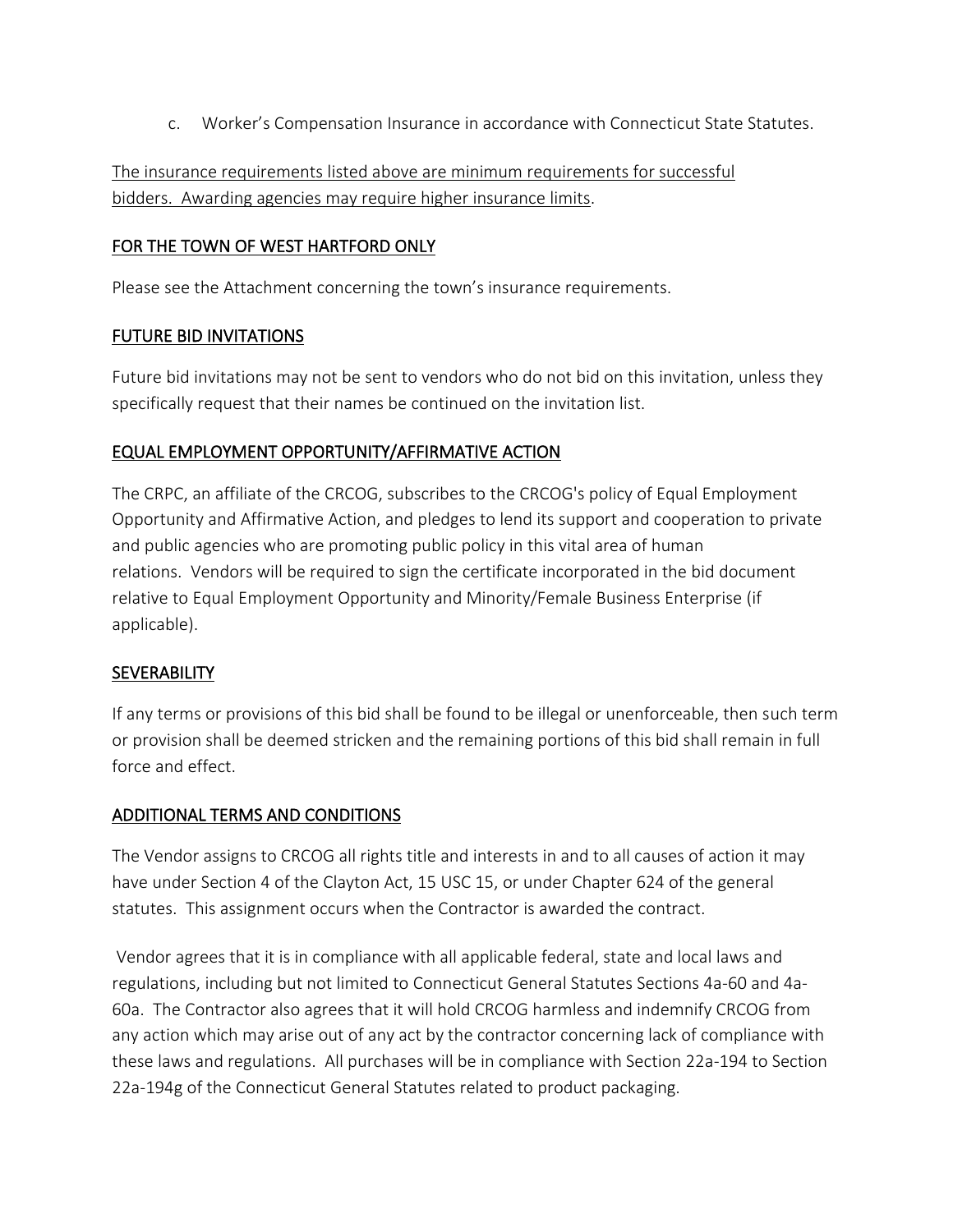c. Worker's Compensation Insurance in accordance with Connecticut State Statutes.

The insurance requirements listed above are minimum requirements for successful bidders. Awarding agencies may require higher insurance limits.

# FOR THE TOWN OF WEST HARTFORD ONLY

Please see the Attachment concerning the town's insurance requirements.

# FUTURE BID INVITATIONS

Future bid invitations may not be sent to vendors who do not bid on this invitation, unless they specifically request that their names be continued on the invitation list.

# EQUAL EMPLOYMENT OPPORTUNITY/AFFIRMATIVE ACTION

The CRPC, an affiliate of the CRCOG, subscribes to the CRCOG's policy of Equal Employment Opportunity and Affirmative Action, and pledges to lend its support and cooperation to private and public agencies who are promoting public policy in this vital area of human relations. Vendors will be required to sign the certificate incorporated in the bid document relative to Equal Employment Opportunity and Minority/Female Business Enterprise (if applicable).

# **SEVERABILITY**

If any terms or provisions of this bid shall be found to be illegal or unenforceable, then such term or provision shall be deemed stricken and the remaining portions of this bid shall remain in full force and effect.

# ADDITIONAL TERMS AND CONDITIONS

The Vendor assigns to CRCOG all rights title and interests in and to all causes of action it may have under Section 4 of the Clayton Act, 15 USC 15, or under Chapter 624 of the general statutes. This assignment occurs when the Contractor is awarded the contract.

Vendor agrees that it is in compliance with all applicable federal, state and local laws and regulations, including but not limited to Connecticut General Statutes Sections 4a-60 and 4a-60a. The Contractor also agrees that it will hold CRCOG harmless and indemnify CRCOG from any action which may arise out of any act by the contractor concerning lack of compliance with these laws and regulations. All purchases will be in compliance with Section 22a-194 to Section 22a-194g of the Connecticut General Statutes related to product packaging.